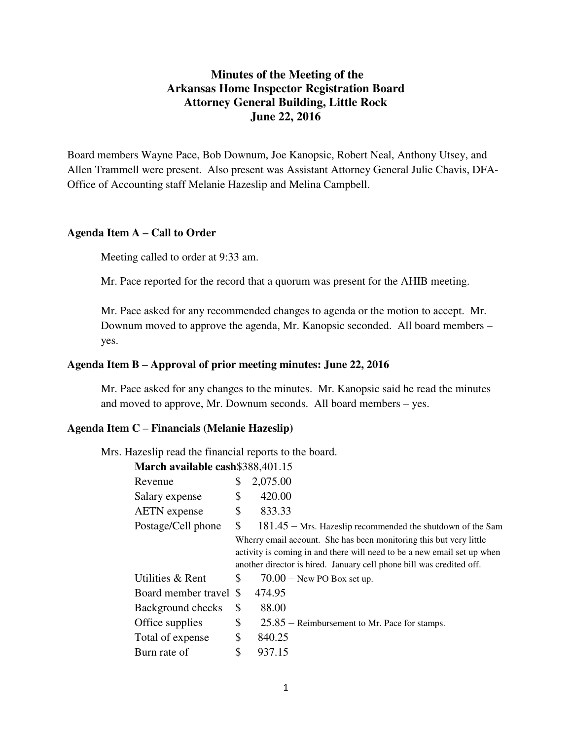# **Minutes of the Meeting of the Arkansas Home Inspector Registration Board Attorney General Building, Little Rock June 22, 2016**

Board members Wayne Pace, Bob Downum, Joe Kanopsic, Robert Neal, Anthony Utsey, and Allen Trammell were present. Also present was Assistant Attorney General Julie Chavis, DFA-Office of Accounting staff Melanie Hazeslip and Melina Campbell.

#### **Agenda Item A – Call to Order**

Meeting called to order at 9:33 am.

Mr. Pace reported for the record that a quorum was present for the AHIB meeting.

Mr. Pace asked for any recommended changes to agenda or the motion to accept. Mr. Downum moved to approve the agenda, Mr. Kanopsic seconded. All board members – yes.

#### **Agenda Item B – Approval of prior meeting minutes: June 22, 2016**

Mr. Pace asked for any changes to the minutes. Mr. Kanopsic said he read the minutes and moved to approve, Mr. Downum seconds. All board members – yes.

#### **Agenda Item C – Financials (Melanie Hazeslip)**

Mrs. Hazeslip read the financial reports to the board.

**March available cash**\$388,401.15

| Revenue                | \$<br>2,075.00                                                                                                                                                                                                        |
|------------------------|-----------------------------------------------------------------------------------------------------------------------------------------------------------------------------------------------------------------------|
| Salary expense         | \$<br>420.00                                                                                                                                                                                                          |
| <b>AETN</b> expense    | \$<br>833.33                                                                                                                                                                                                          |
| Postage/Cell phone     | \$<br>$181.45$ – Mrs. Hazeslip recommended the shutdown of the Sam                                                                                                                                                    |
|                        | Wherry email account. She has been monitoring this but very little<br>activity is coming in and there will need to be a new email set up when<br>another director is hired. January cell phone bill was credited off. |
| Utilities & Rent       | \$<br>$70.00 -$ New PO Box set up.                                                                                                                                                                                    |
| Board member travel \$ | 474.95                                                                                                                                                                                                                |
| Background checks      | \$<br>88.00                                                                                                                                                                                                           |
| Office supplies        | \$<br>$25.85$ – Reimbursement to Mr. Pace for stamps.                                                                                                                                                                 |
| Total of expense       | \$<br>840.25                                                                                                                                                                                                          |
| Burn rate of           | \$<br>937.15                                                                                                                                                                                                          |
|                        |                                                                                                                                                                                                                       |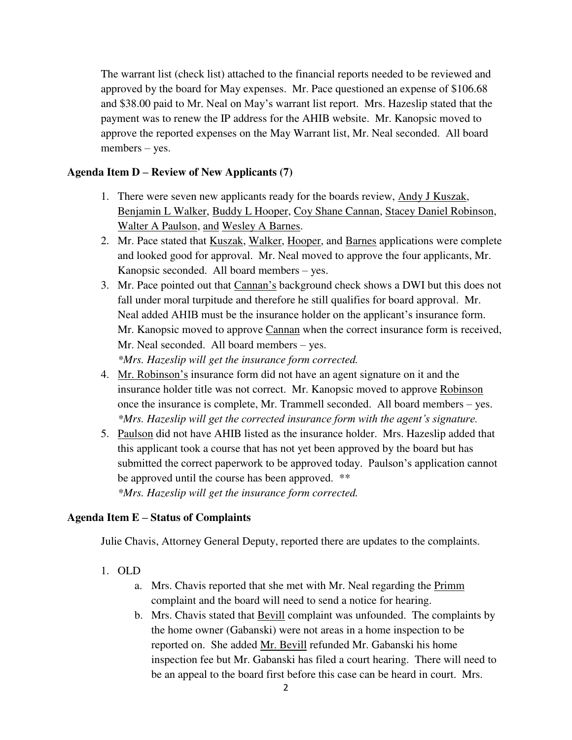The warrant list (check list) attached to the financial reports needed to be reviewed and approved by the board for May expenses. Mr. Pace questioned an expense of \$106.68 and \$38.00 paid to Mr. Neal on May's warrant list report. Mrs. Hazeslip stated that the payment was to renew the IP address for the AHIB website. Mr. Kanopsic moved to approve the reported expenses on the May Warrant list, Mr. Neal seconded. All board members – yes.

### **Agenda Item D – Review of New Applicants (7)**

- 1. There were seven new applicants ready for the boards review, Andy J Kuszak, Benjamin L Walker, Buddy L Hooper, Coy Shane Cannan, Stacey Daniel Robinson, Walter A Paulson, and Wesley A Barnes.
- 2. Mr. Pace stated that Kuszak, Walker, Hooper, and Barnes applications were complete and looked good for approval. Mr. Neal moved to approve the four applicants, Mr. Kanopsic seconded. All board members – yes.
- 3. Mr. Pace pointed out that Cannan's background check shows a DWI but this does not fall under moral turpitude and therefore he still qualifies for board approval. Mr. Neal added AHIB must be the insurance holder on the applicant's insurance form. Mr. Kanopsic moved to approve Cannan when the correct insurance form is received, Mr. Neal seconded. All board members – yes. *\*Mrs. Hazeslip will get the insurance form corrected.*
- 4. Mr. Robinson's insurance form did not have an agent signature on it and the insurance holder title was not correct. Mr. Kanopsic moved to approve Robinson once the insurance is complete, Mr. Trammell seconded. All board members – yes. *\*Mrs. Hazeslip will get the corrected insurance form with the agent's signature.*
- 5. Paulson did not have AHIB listed as the insurance holder. Mrs. Hazeslip added that this applicant took a course that has not yet been approved by the board but has submitted the correct paperwork to be approved today. Paulson's application cannot be approved until the course has been approved. \*\* *\*Mrs. Hazeslip will get the insurance form corrected.*

### **Agenda Item E – Status of Complaints**

Julie Chavis, Attorney General Deputy, reported there are updates to the complaints.

- 1. OLD
	- a. Mrs. Chavis reported that she met with Mr. Neal regarding the Primm complaint and the board will need to send a notice for hearing.
	- b. Mrs. Chavis stated that Bevill complaint was unfounded. The complaints by the home owner (Gabanski) were not areas in a home inspection to be reported on. She added Mr. Bevill refunded Mr. Gabanski his home inspection fee but Mr. Gabanski has filed a court hearing. There will need to be an appeal to the board first before this case can be heard in court. Mrs.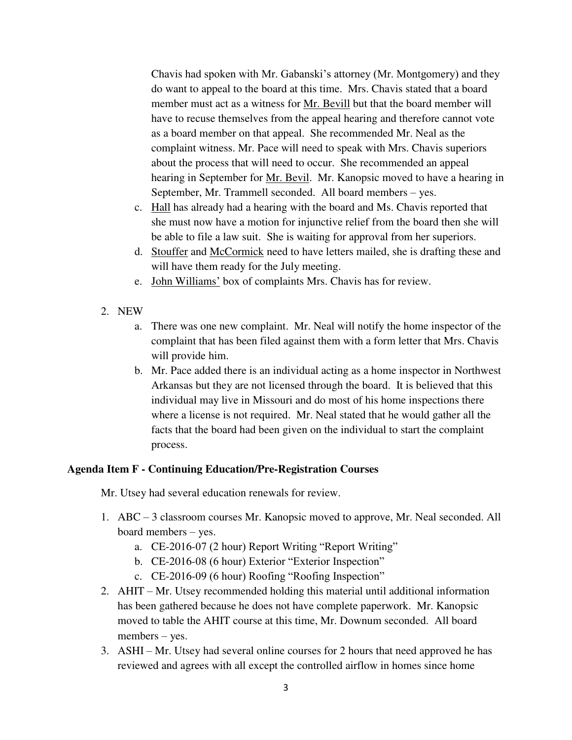Chavis had spoken with Mr. Gabanski's attorney (Mr. Montgomery) and they do want to appeal to the board at this time. Mrs. Chavis stated that a board member must act as a witness for Mr. Bevill but that the board member will have to recuse themselves from the appeal hearing and therefore cannot vote as a board member on that appeal. She recommended Mr. Neal as the complaint witness. Mr. Pace will need to speak with Mrs. Chavis superiors about the process that will need to occur. She recommended an appeal hearing in September for Mr. Bevil. Mr. Kanopsic moved to have a hearing in September, Mr. Trammell seconded. All board members – yes.

- c. Hall has already had a hearing with the board and Ms. Chavis reported that she must now have a motion for injunctive relief from the board then she will be able to file a law suit. She is waiting for approval from her superiors.
- d. Stouffer and McCormick need to have letters mailed, she is drafting these and will have them ready for the July meeting.
- e. John Williams' box of complaints Mrs. Chavis has for review.
- 2. NEW
	- a. There was one new complaint. Mr. Neal will notify the home inspector of the complaint that has been filed against them with a form letter that Mrs. Chavis will provide him.
	- b. Mr. Pace added there is an individual acting as a home inspector in Northwest Arkansas but they are not licensed through the board. It is believed that this individual may live in Missouri and do most of his home inspections there where a license is not required. Mr. Neal stated that he would gather all the facts that the board had been given on the individual to start the complaint process.

#### **Agenda Item F - Continuing Education/Pre-Registration Courses**

Mr. Utsey had several education renewals for review.

- 1. ABC 3 classroom courses Mr. Kanopsic moved to approve, Mr. Neal seconded. All board members – yes.
	- a. CE-2016-07 (2 hour) Report Writing "Report Writing"
	- b. CE-2016-08 (6 hour) Exterior "Exterior Inspection"
	- c. CE-2016-09 (6 hour) Roofing "Roofing Inspection"
- 2. AHIT Mr. Utsey recommended holding this material until additional information has been gathered because he does not have complete paperwork. Mr. Kanopsic moved to table the AHIT course at this time, Mr. Downum seconded. All board members – yes.
- 3. ASHI Mr. Utsey had several online courses for 2 hours that need approved he has reviewed and agrees with all except the controlled airflow in homes since home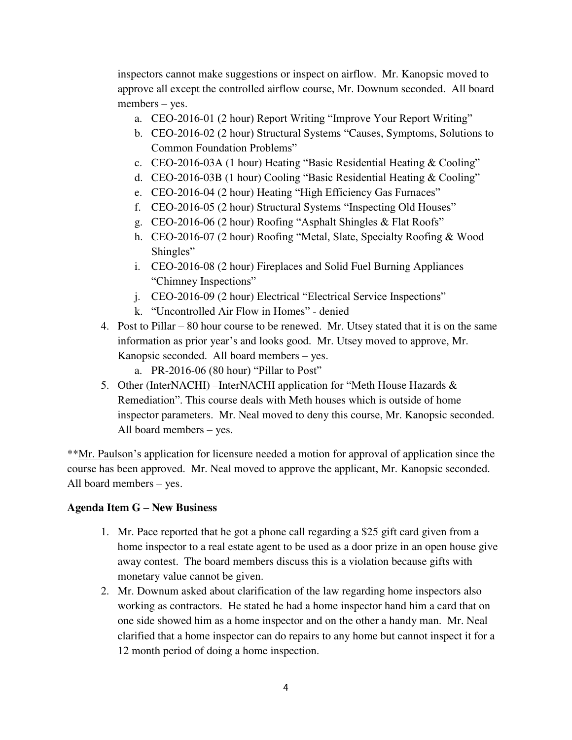inspectors cannot make suggestions or inspect on airflow. Mr. Kanopsic moved to approve all except the controlled airflow course, Mr. Downum seconded. All board members – yes.

- a. CEO-2016-01 (2 hour) Report Writing "Improve Your Report Writing"
- b. CEO-2016-02 (2 hour) Structural Systems "Causes, Symptoms, Solutions to Common Foundation Problems"
- c. CEO-2016-03A (1 hour) Heating "Basic Residential Heating & Cooling"
- d. CEO-2016-03B (1 hour) Cooling "Basic Residential Heating & Cooling"
- e. CEO-2016-04 (2 hour) Heating "High Efficiency Gas Furnaces"
- f. CEO-2016-05 (2 hour) Structural Systems "Inspecting Old Houses"
- g. CEO-2016-06 (2 hour) Roofing "Asphalt Shingles & Flat Roofs"
- h. CEO-2016-07 (2 hour) Roofing "Metal, Slate, Specialty Roofing & Wood Shingles"
- i. CEO-2016-08 (2 hour) Fireplaces and Solid Fuel Burning Appliances "Chimney Inspections"
- j. CEO-2016-09 (2 hour) Electrical "Electrical Service Inspections"
- k. "Uncontrolled Air Flow in Homes" denied
- 4. Post to Pillar 80 hour course to be renewed. Mr. Utsey stated that it is on the same information as prior year's and looks good. Mr. Utsey moved to approve, Mr. Kanopsic seconded. All board members – yes.
	- a. PR-2016-06 (80 hour) "Pillar to Post"
- 5. Other (InterNACHI) –InterNACHI application for "Meth House Hazards & Remediation". This course deals with Meth houses which is outside of home inspector parameters. Mr. Neal moved to deny this course, Mr. Kanopsic seconded. All board members – yes.

\*\*Mr. Paulson's application for licensure needed a motion for approval of application since the course has been approved. Mr. Neal moved to approve the applicant, Mr. Kanopsic seconded. All board members – yes.

## **Agenda Item G – New Business**

- 1. Mr. Pace reported that he got a phone call regarding a \$25 gift card given from a home inspector to a real estate agent to be used as a door prize in an open house give away contest. The board members discuss this is a violation because gifts with monetary value cannot be given.
- 2. Mr. Downum asked about clarification of the law regarding home inspectors also working as contractors. He stated he had a home inspector hand him a card that on one side showed him as a home inspector and on the other a handy man. Mr. Neal clarified that a home inspector can do repairs to any home but cannot inspect it for a 12 month period of doing a home inspection.